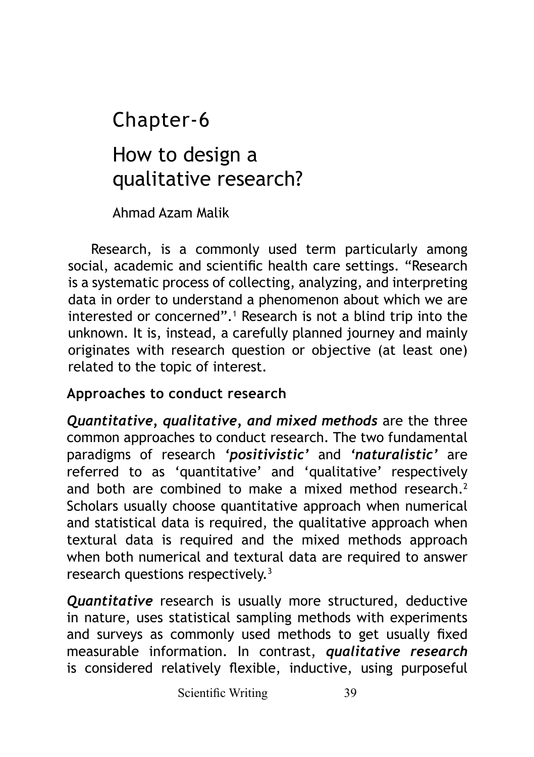# How to design a qualitative research? Chapter-6

Ahmad Azam Malik

Research, is a commonly used term particularly among social, academic and scientific health care settings. "Research is a systematic process of collecting, analyzing, and interpreting data in order to understand a phenomenon about which we are interested or concerned".<sup>1</sup> Research is not a blind trip into the unknown. It is, instead, a carefully planned journey and mainly originates with research question or objective (at least one) related to the topic of interest.

## **Approaches to conduct research**

*Quantitative, qualitative, and mixed methods* are the three common approaches to conduct research. The two fundamental paradigms of research *'positivistic'* and *'naturalistic'* are referred to as 'quantitative' and 'qualitative' respectively and both are combined to make a mixed method research.<sup>2</sup> Scholars usually choose quantitative approach when numerical and statistical data is required, the qualitative approach when textural data is required and the mixed methods approach when both numerical and textural data are required to answer research questions respectively.<sup>3</sup>

*Quantitative* research is usually more structured, deductive in nature, uses statistical sampling methods with experiments and surveys as commonly used methods to get usually fixed measurable information. In contrast, *qualitative research* is considered relatively flexible, inductive, using purposeful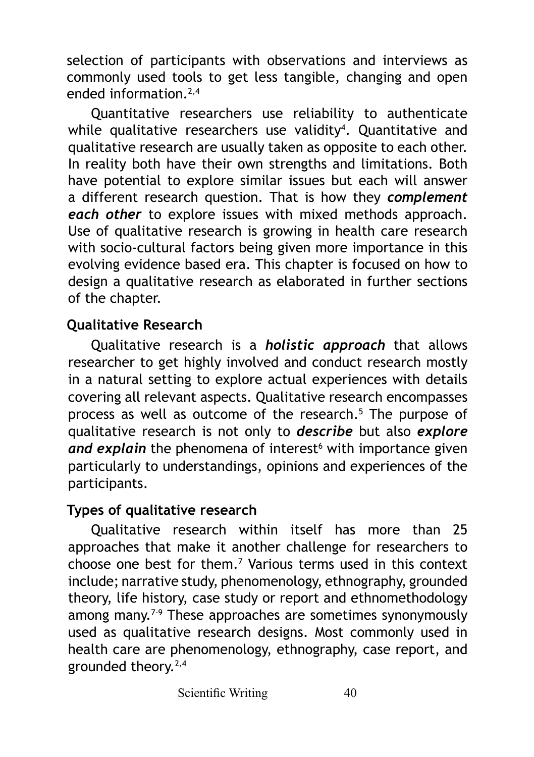selection of participants with observations and interviews as commonly used tools to get less tangible, changing and open ended information.2,4

Quantitative researchers use reliability to authenticate while qualitative researchers use validity4 . Quantitative and qualitative research are usually taken as opposite to each other. In reality both have their own strengths and limitations. Both have potential to explore similar issues but each will answer a different research question. That is how they *complement each other* to explore issues with mixed methods approach. Use of qualitative research is growing in health care research with socio-cultural factors being given more importance in this evolving evidence based era. This chapter is focused on how to design a qualitative research as elaborated in further sections of the chapter.

#### **Qualitative Research**

Qualitative research is a *holistic approach* that allows researcher to get highly involved and conduct research mostly in a natural setting to explore actual experiences with details covering all relevant aspects. Qualitative research encompasses process as well as outcome of the research.<sup>5</sup> The purpose of qualitative research is not only to *describe* but also *explore*  and explain the phenomena of interest<sup>6</sup> with importance given particularly to understandings, opinions and experiences of the participants.

#### **Types of qualitative research**

Qualitative research within itself has more than 25 approaches that make it another challenge for researchers to choose one best for them.<sup>7</sup> Various terms used in this context include; narrative study, phenomenology, ethnography, grounded theory, life history, case study or report and ethnomethodology among many.<sup>7-9</sup> These approaches are sometimes synonymously used as qualitative research designs. Most commonly used in health care are phenomenology, ethnography, case report, and grounded theory.2,4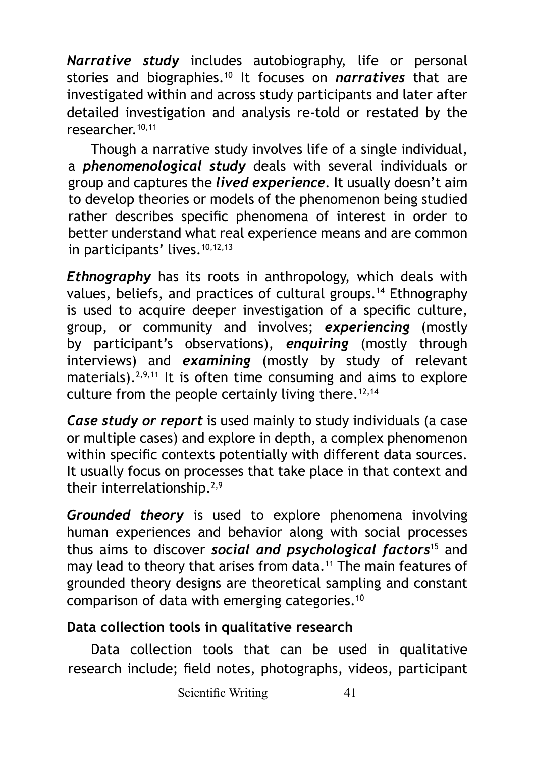*Narrative study* includes autobiography, life or personal stories and biographies.<sup>10</sup> It focuses on *narratives* that are investigated within and across study participants and later after detailed investigation and analysis re-told or restated by the researcher.10,11

Though a narrative study involves life of a single individual, a *phenomenological study* deals with several individuals or group and captures the *lived experience*. It usually doesn't aim to develop theories or models of the phenomenon being studied rather describes specific phenomena of interest in order to better understand what real experience means and are common in participants' lives.<sup>10,12,13</sup>

*Ethnography* has its roots in anthropology, which deals with values, beliefs, and practices of cultural groups.14 Ethnography is used to acquire deeper investigation of a specific culture, group, or community and involves; *experiencing* (mostly by participant's observations), *enquiring* (mostly through interviews) and *examining* (mostly by study of relevant materials). $2,9,11$  It is often time consuming and aims to explore culture from the people certainly living there.<sup>12,14</sup>

*Case study or report* is used mainly to study individuals (a case or multiple cases) and explore in depth, a complex phenomenon within specific contexts potentially with different data sources. It usually focus on processes that take place in that context and their interrelationship.2,9

*Grounded theory* is used to explore phenomena involving human experiences and behavior along with social processes thus aims to discover *social and psychological factors*15 and may lead to theory that arises from data.<sup>11</sup> The main features of grounded theory designs are theoretical sampling and constant comparison of data with emerging categories.<sup>10</sup>

## **Data collection tools in qualitative research**

Data collection tools that can be used in qualitative research include; field notes, photographs, videos, participant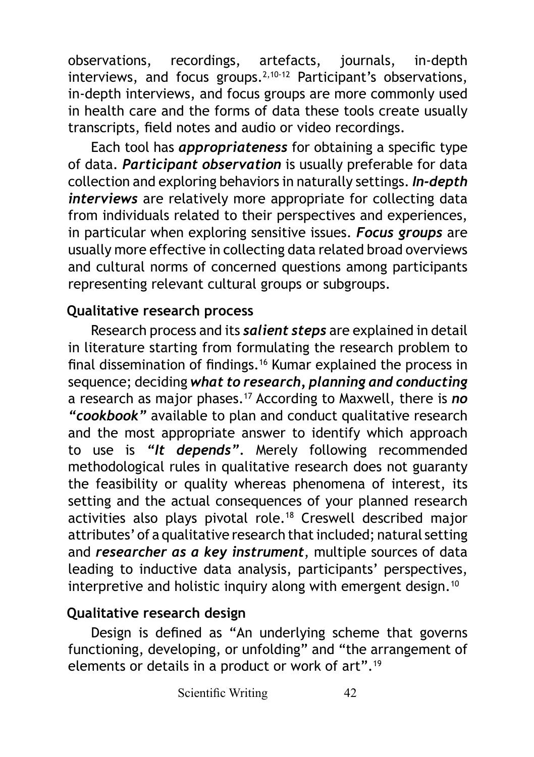observations, recordings, artefacts, journals, in-depth interviews, and focus groups. $2,10-12$  Participant's observations. in-depth interviews, and focus groups are more commonly used in health care and the forms of data these tools create usually transcripts, field notes and audio or video recordings.

Each tool has *appropriateness* for obtaining a specific type of data. *Participant observation* is usually preferable for data collection and exploring behaviors in naturally settings. *In-depth interviews* are relatively more appropriate for collecting data from individuals related to their perspectives and experiences, in particular when exploring sensitive issues. *Focus groups* are usually more effective in collecting data related broad overviews and cultural norms of concerned questions among participants representing relevant cultural groups or subgroups.

#### **Qualitative research process**

Research process and its *salient steps* are explained in detail in literature starting from formulating the research problem to final dissemination of findings.16 Kumar explained the process in sequence; deciding *what to research, planning and conducting* a research as major phases.17 According to Maxwell, there is *no "cookbook"* available to plan and conduct qualitative research and the most appropriate answer to identify which approach to use is *"It depends".* Merely following recommended methodological rules in qualitative research does not guaranty the feasibility or quality whereas phenomena of interest, its setting and the actual consequences of your planned research activities also plays pivotal role.<sup>18</sup> Creswell described major attributes' of a qualitative research that included; natural setting and *researcher as a key instrument*, multiple sources of data leading to inductive data analysis, participants' perspectives, interpretive and holistic inquiry along with emergent design.<sup>10</sup>

## **Qualitative research design**

Design is defined as "An underlying scheme that governs functioning, developing, or unfolding" and "the arrangement of elements or details in a product or work of art".<sup>19</sup>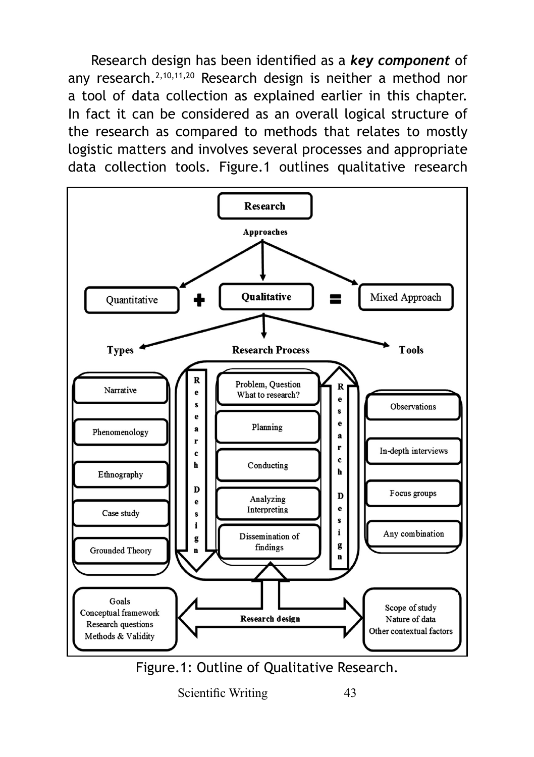Research design has been identified as a *key component* of any research.<sup>2,10,11,20</sup> Research design is neither a method nor a tool of data collection as explained earlier in this chapter. In fact it can be considered as an overall logical structure of the research as compared to methods that relates to mostly logistic matters and involves several processes and appropriate data collection tools. Figure.1 outlines qualitative research



Scientific Writing 43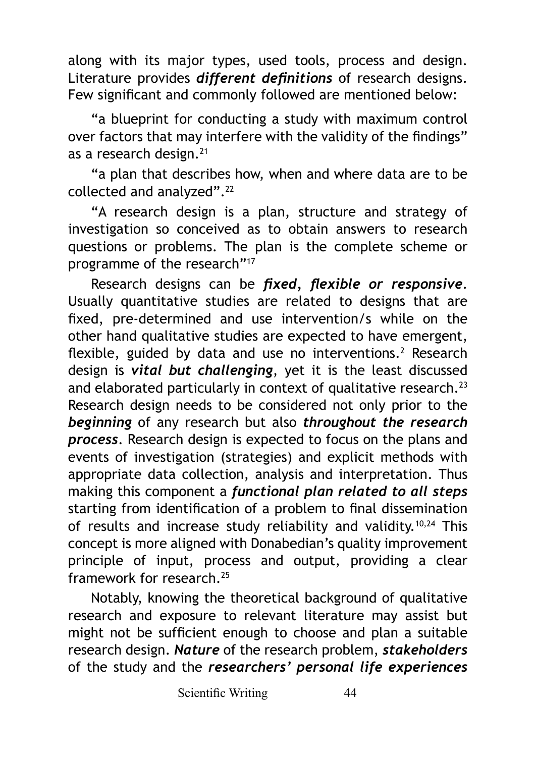along with its major types, used tools, process and design. Literature provides *different definitions* of research designs. Few significant and commonly followed are mentioned below:

"a blueprint for conducting a study with maximum control over factors that may interfere with the validity of the findings" as a research design.<sup>21</sup>

"a plan that describes how, when and where data are to be collected and analyzed".<sup>22</sup>

"A research design is a plan, structure and strategy of investigation so conceived as to obtain answers to research questions or problems. The plan is the complete scheme or programme of the research"17

Research designs can be *fixed, flexible or responsive*. Usually quantitative studies are related to designs that are fixed, pre-determined and use intervention/s while on the other hand qualitative studies are expected to have emergent, flexible, guided by data and use no interventions.<sup>2</sup> Research design is *vital but challenging*, yet it is the least discussed and elaborated particularly in context of qualitative research. $^{23}$ Research design needs to be considered not only prior to the *beginning* of any research but also *throughout the research process*. Research design is expected to focus on the plans and events of investigation (strategies) and explicit methods with appropriate data collection, analysis and interpretation. Thus making this component a *functional plan related to all steps* starting from identification of a problem to final dissemination of results and increase study reliability and validity.10,24 This concept is more aligned with Donabedian's quality improvement principle of input, process and output, providing a clear framework for research.<sup>25</sup>

Notably, knowing the theoretical background of qualitative research and exposure to relevant literature may assist but might not be sufficient enough to choose and plan a suitable research design. *Nature* of the research problem, *stakeholders*  of the study and the *researchers' personal life experiences*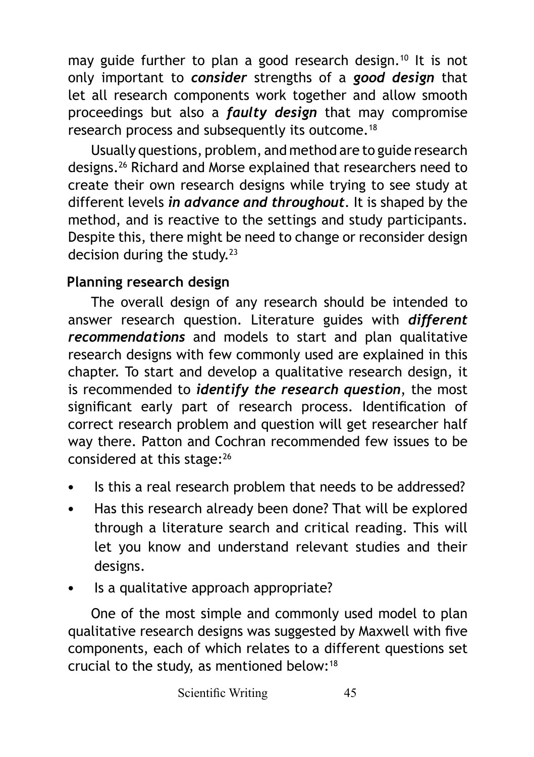may guide further to plan a good research design.<sup>10</sup> It is not only important to *consider* strengths of a *good design* that let all research components work together and allow smooth proceedings but also a *faulty design* that may compromise research process and subsequently its outcome.<sup>18</sup>

Usually questions, problem, and method are to guide research designs.26 Richard and Morse explained that researchers need to create their own research designs while trying to see study at different levels *in advance and throughout*. It is shaped by the method, and is reactive to the settings and study participants. Despite this, there might be need to change or reconsider design decision during the study.<sup>23</sup>

## **Planning research design**

The overall design of any research should be intended to answer research question. Literature guides with *different recommendations* and models to start and plan qualitative research designs with few commonly used are explained in this chapter. To start and develop a qualitative research design, it is recommended to *identify the research question*, the most significant early part of research process. Identification of correct research problem and question will get researcher half way there. Patton and Cochran recommended few issues to be considered at this stage:<sup>26</sup>

- Is this a real research problem that needs to be addressed?
- Has this research already been done? That will be explored through a literature search and critical reading. This will let you know and understand relevant studies and their designs.
- Is a qualitative approach appropriate?

One of the most simple and commonly used model to plan qualitative research designs was suggested by Maxwell with five components, each of which relates to a different questions set crucial to the study, as mentioned below:<sup>18</sup>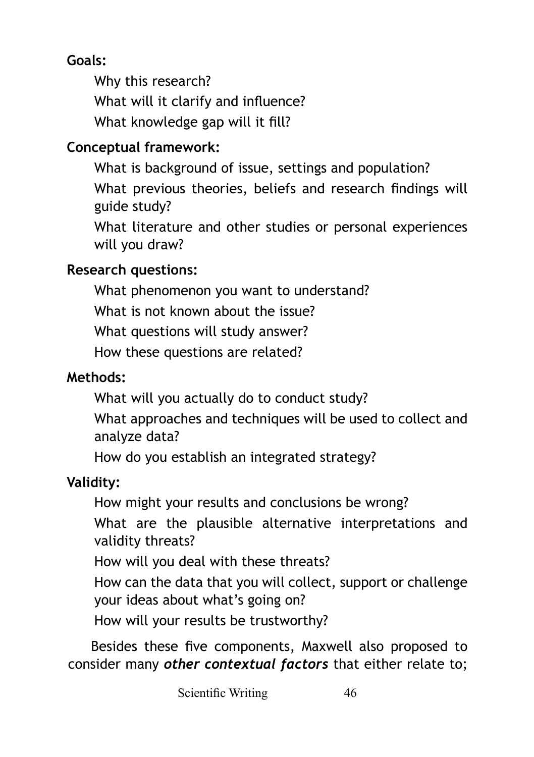## **Goals:**

Why this research? What will it clarify and influence? What knowledge gap will it fill?

## **Conceptual framework:**

What is background of issue, settings and population? What previous theories, beliefs and research findings will guide study?

What literature and other studies or personal experiences will you draw?

## **Research questions:**

What phenomenon you want to understand? What is not known about the issue? What questions will study answer? How these questions are related?

## **Methods:**

What will you actually do to conduct study?

What approaches and techniques will be used to collect and analyze data?

How do you establish an integrated strategy?

## **Validity:**

How might your results and conclusions be wrong? What are the plausible alternative interpretations and validity threats? How will you deal with these threats? How can the data that you will collect, support or challenge your ideas about what's going on? How will your results be trustworthy?

Besides these five components, Maxwell also proposed to consider many *other contextual factors* that either relate to;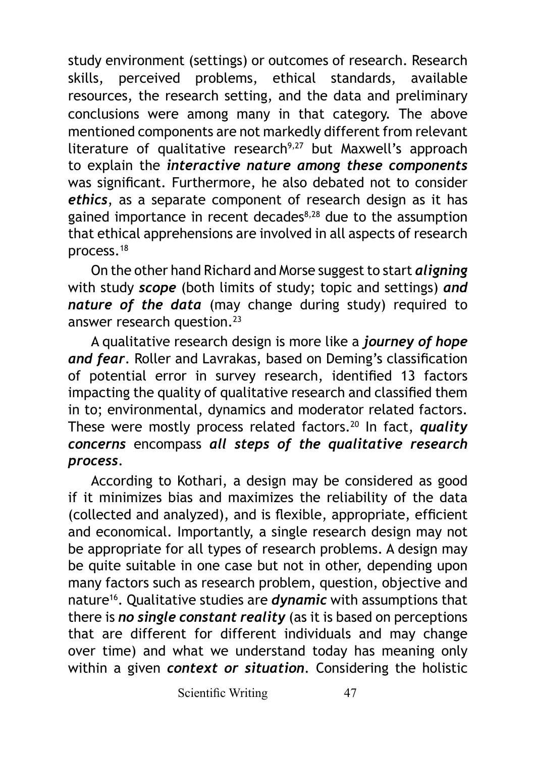study environment (settings) or outcomes of research. Research skills, perceived problems, ethical standards, available resources, the research setting, and the data and preliminary conclusions were among many in that category. The above mentioned components are not markedly different from relevant literature of qualitative research<sup>9,27</sup> but Maxwell's approach to explain the *interactive nature among these components* was significant. Furthermore, he also debated not to consider *ethics*, as a separate component of research design as it has gained importance in recent decades<sup>8,28</sup> due to the assumption that ethical apprehensions are involved in all aspects of research process.<sup>18</sup>

On the other hand Richard and Morse suggest to start *aligning* with study *scope* (both limits of study; topic and settings) *and nature of the data* (may change during study) required to answer research question.<sup>23</sup>

A qualitative research design is more like a *journey of hope and fear*. Roller and Lavrakas, based on Deming's classification of potential error in survey research, identified 13 factors impacting the quality of qualitative research and classified them in to; environmental, dynamics and moderator related factors. These were mostly process related factors.<sup>20</sup> In fact, *quality concerns* encompass *all steps of the qualitative research process*.

According to Kothari, a design may be considered as good if it minimizes bias and maximizes the reliability of the data (collected and analyzed), and is flexible, appropriate, efficient and economical. Importantly, a single research design may not be appropriate for all types of research problems. A design may be quite suitable in one case but not in other, depending upon many factors such as research problem, question, objective and nature16. Qualitative studies are *dynamic* with assumptions that there is *no single constant reality* (as it is based on perceptions that are different for different individuals and may change over time) and what we understand today has meaning only within a given *context or situation*. Considering the holistic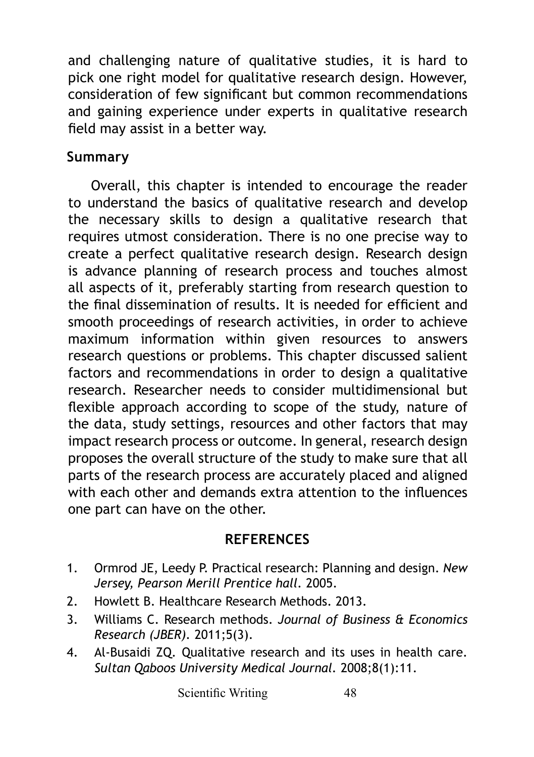and challenging nature of qualitative studies, it is hard to pick one right model for qualitative research design. However, consideration of few significant but common recommendations and gaining experience under experts in qualitative research field may assist in a better way.

#### **Summary**

Overall, this chapter is intended to encourage the reader to understand the basics of qualitative research and develop the necessary skills to design a qualitative research that requires utmost consideration. There is no one precise way to create a perfect qualitative research design. Research design is advance planning of research process and touches almost all aspects of it, preferably starting from research question to the final dissemination of results. It is needed for efficient and smooth proceedings of research activities, in order to achieve maximum information within given resources to answers research questions or problems. This chapter discussed salient factors and recommendations in order to design a qualitative research. Researcher needs to consider multidimensional but flexible approach according to scope of the study, nature of the data, study settings, resources and other factors that may impact research process or outcome. In general, research design proposes the overall structure of the study to make sure that all parts of the research process are accurately placed and aligned with each other and demands extra attention to the influences one part can have on the other.

#### **REFERENCES**

- 1. Ormrod JE, Leedy P. Practical research: Planning and design. *New Jersey, Pearson Merill Prentice hall.* 2005.
- 2. Howlett B. Healthcare Research Methods. 2013.
- 3. Williams C. Research methods. *Journal of Business & Economics Research (JBER).* 2011;5(3).
- 4. Al-Busaidi ZQ. Qualitative research and its uses in health care. *Sultan Qaboos University Medical Journal.* 2008;8(1):11.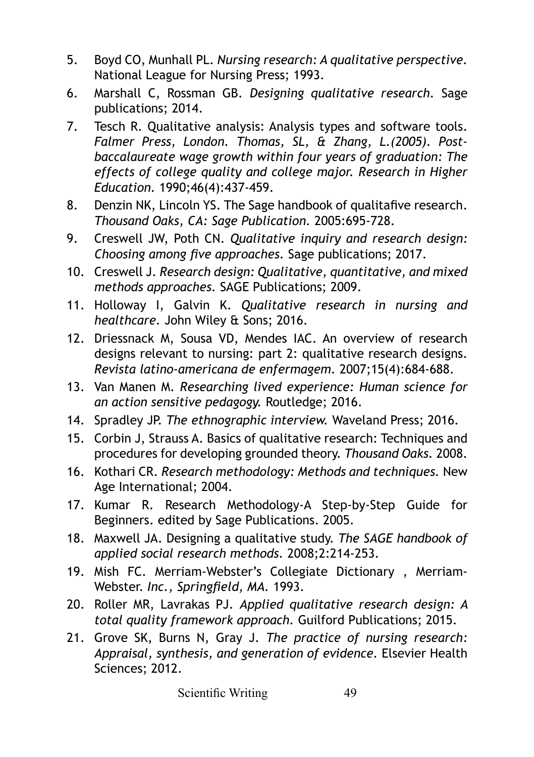- 5. Boyd CO, Munhall PL. *Nursing research: A qualitative perspective.* National League for Nursing Press; 1993.
- 6. Marshall C, Rossman GB. *Designing qualitative research.* Sage publications; 2014.
- 7. Tesch R. Qualitative analysis: Analysis types and software tools. *Falmer Press, London. Thomas, SL, & Zhang, L.(2005). Postbaccalaureate wage growth within four years of graduation: The effects of college quality and college major. Research in Higher Education.* 1990;46(4):437-459.
- 8. Denzin NK, Lincoln YS. The Sage handbook of qualitafive research. *Thousand Oaks, CA: Sage Publication.* 2005:695-728.
- 9. Creswell JW, Poth CN. *Qualitative inquiry and research design: Choosing among five approaches.* Sage publications; 2017.
- 10. Creswell J. *Research design: Qualitative, quantitative, and mixed methods approaches.* SAGE Publications; 2009.
- 11. Holloway I, Galvin K. *Qualitative research in nursing and healthcare.* John Wiley & Sons; 2016.
- 12. Driessnack M, Sousa VD, Mendes IAC. An overview of research designs relevant to nursing: part 2: qualitative research designs. *Revista latino-americana de enfermagem.* 2007;15(4):684-688.
- 13. Van Manen M. *Researching lived experience: Human science for an action sensitive pedagogy.* Routledge; 2016.
- 14. Spradley JP. *The ethnographic interview.* Waveland Press; 2016.
- 15. Corbin J, Strauss A. Basics of qualitative research: Techniques and procedures for developing grounded theory. *Thousand Oaks.* 2008.
- 16. Kothari CR. *Research methodology: Methods and techniques.* New Age International; 2004.
- 17. Kumar R. Research Methodology-A Step-by-Step Guide for Beginners. edited by Sage Publications. 2005.
- 18. Maxwell JA. Designing a qualitative study. *The SAGE handbook of applied social research methods.* 2008;2:214-253.
- 19. Mish FC. Merriam-Webster's Collegiate Dictionary , Merriam-Webster. *Inc., Springfield, MA.* 1993.
- 20. Roller MR, Lavrakas PJ. *Applied qualitative research design: A total quality framework approach.* Guilford Publications; 2015.
- 21. Grove SK, Burns N, Gray J. *The practice of nursing research: Appraisal, synthesis, and generation of evidence.* Elsevier Health Sciences; 2012.